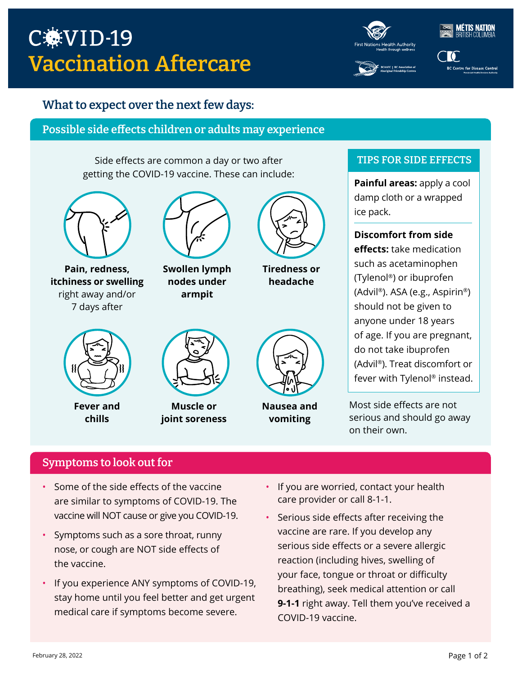# C.VID-19 Vaccination Aftercare

**TIS NATION**<br>ISH COLLIMBIA

**BC Centre for Disease Control** 

## What to expect over the next few days:

## Possible side effects children or adults may experience

Side effects are common a day or two after getting the COVID-19 vaccine. These can include:



**Pain, redness, itchiness or swelling** right away and/or 7 days after



**Swollen lymph nodes under armpit**



**Tiredness or headache**



**Fever and chills**



**Muscle or joint soreness**



**Nausea and vomiting**

#### TIPS FOR SIDE EFFECTS

**Painful areas:** apply a cool damp cloth or a wrapped ice pack.

## **Discomfort from side effects:** take medication such as acetaminophen (Tylenol®) or ibuprofen (Advil®). ASA (e.g., Aspirin®) should not be given to anyone under 18 years of age. If you are pregnant, do not take ibuprofen (Advil®). Treat discomfort or fever with Tylenol® instead.

Most side effects are not serious and should go away on their own.

## Symptoms to look out for

- Some of the side effects of the vaccine are similar to symptoms of COVID-19. The vaccine will NOT cause or give you COVID-19.
- Symptoms such as a sore throat, runny nose, or cough are NOT side effects of the vaccine.
- If you experience ANY symptoms of COVID-19, stay home until you feel better and get urgent medical care if symptoms become severe.
- If you are worried, contact your health care provider or call 8-1-1.
- Serious side effects after receiving the vaccine are rare. If you develop any serious side effects or a severe allergic reaction (including hives, swelling of your face, tongue or throat or difficulty breathing), seek medical attention or call **9-1-1** right away. Tell them you've received a COVID-19 vaccine.